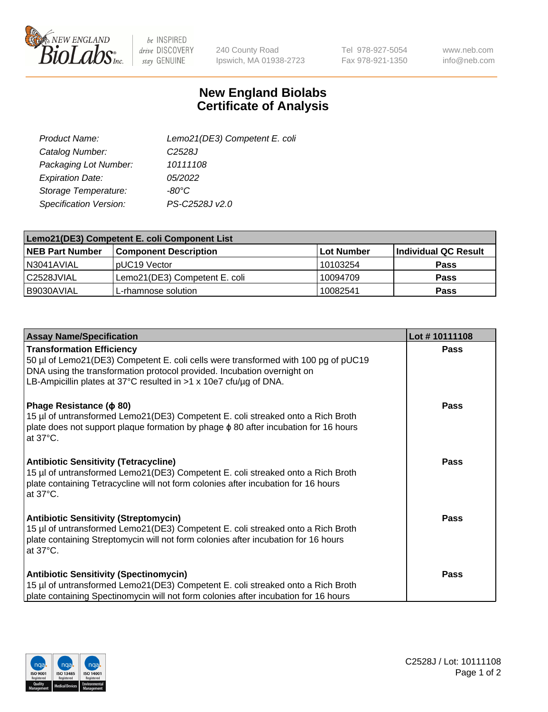

 $be$  INSPIRED drive DISCOVERY stay GENUINE

240 County Road Ipswich, MA 01938-2723 Tel 978-927-5054 Fax 978-921-1350

www.neb.com info@neb.com

## **New England Biolabs Certificate of Analysis**

| Lemo21(DE3) Competent E. coli |
|-------------------------------|
| C <sub>2528</sub> J           |
| 10111108                      |
| 05/2022                       |
| $-80^{\circ}$ C               |
| PS-C2528J v2.0                |
|                               |

| Lemo21(DE3) Competent E. coli Component List |                               |                   |                      |  |
|----------------------------------------------|-------------------------------|-------------------|----------------------|--|
| <b>NEB Part Number</b>                       | <b>Component Description</b>  | <b>Lot Number</b> | Individual QC Result |  |
| I N3041AVIAL                                 | IpUC19 Vector                 | 10103254          | <b>Pass</b>          |  |
| C2528JVIAL                                   | Lemo21(DE3) Competent E. coli | 10094709          | <b>Pass</b>          |  |
| B9030AVIAL                                   | L-rhamnose solution           | 10082541          | <b>Pass</b>          |  |

| <b>Assay Name/Specification</b>                                                                                                                                                                                                                                          | Lot #10111108 |
|--------------------------------------------------------------------------------------------------------------------------------------------------------------------------------------------------------------------------------------------------------------------------|---------------|
| <b>Transformation Efficiency</b><br>50 µl of Lemo21(DE3) Competent E. coli cells were transformed with 100 pg of pUC19<br>DNA using the transformation protocol provided. Incubation overnight on<br>LB-Ampicillin plates at 37°C resulted in $>1$ x 10e7 cfu/ug of DNA. | Pass          |
| Phage Resistance ( $\phi$ 80)<br>15 µl of untransformed Lemo21(DE3) Competent E. coli streaked onto a Rich Broth<br>plate does not support plaque formation by phage $\phi$ 80 after incubation for 16 hours<br>at $37^{\circ}$ C.                                       | Pass          |
| <b>Antibiotic Sensitivity (Tetracycline)</b><br>15 µl of untransformed Lemo21(DE3) Competent E. coli streaked onto a Rich Broth<br>plate containing Tetracycline will not form colonies after incubation for 16 hours<br>at 37°C.                                        | Pass          |
| <b>Antibiotic Sensitivity (Streptomycin)</b><br>15 µl of untransformed Lemo21(DE3) Competent E. coli streaked onto a Rich Broth<br>plate containing Streptomycin will not form colonies after incubation for 16 hours<br>at 37°C.                                        | Pass          |
| <b>Antibiotic Sensitivity (Spectinomycin)</b><br>15 µl of untransformed Lemo21(DE3) Competent E. coli streaked onto a Rich Broth<br>plate containing Spectinomycin will not form colonies after incubation for 16 hours                                                  | Pass          |